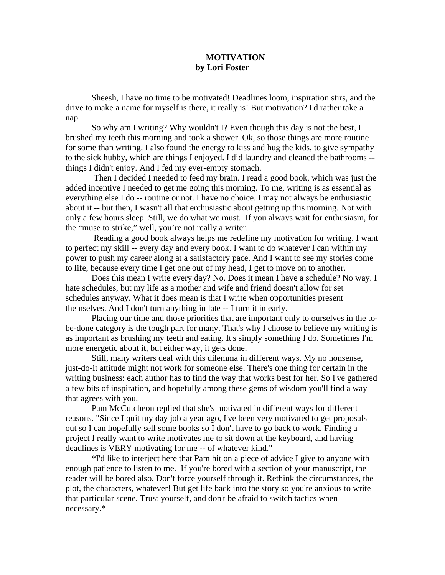## **MOTIVATION by Lori Foster**

Sheesh, I have no time to be motivated! Deadlines loom, inspiration stirs, and the drive to make a name for myself is there, it really is! But motivation? I'd rather take a nap.

 So why am I writing? Why wouldn't I? Even though this day is not the best, I brushed my teeth this morning and took a shower. Ok, so those things are more routine for some than writing. I also found the energy to kiss and hug the kids, to give sympathy to the sick hubby, which are things I enjoyed. I did laundry and cleaned the bathrooms - things I didn't enjoy. And I fed my ever-empty stomach.

 Then I decided I needed to feed my brain. I read a good book, which was just the added incentive I needed to get me going this morning. To me, writing is as essential as everything else I do -- routine or not. I have no choice. I may not always be enthusiastic about it -- but then, I wasn't all that enthusiastic about getting up this morning. Not with only a few hours sleep. Still, we do what we must. If you always wait for enthusiasm, for the "muse to strike," well, you're not really a writer.

 Reading a good book always helps me redefine my motivation for writing. I want to perfect my skill -- every day and every book. I want to do whatever I can within my power to push my career along at a satisfactory pace. And I want to see my stories come to life, because every time I get one out of my head, I get to move on to another.

 Does this mean I write every day? No. Does it mean I have a schedule? No way. I hate schedules, but my life as a mother and wife and friend doesn't allow for set schedules anyway. What it does mean is that I write when opportunities present themselves. And I don't turn anything in late -- I turn it in early.

 Placing our time and those priorities that are important only to ourselves in the tobe-done category is the tough part for many. That's why I choose to believe my writing is as important as brushing my teeth and eating. It's simply something I do. Sometimes I'm more energetic about it, but either way, it gets done.

 Still, many writers deal with this dilemma in different ways. My no nonsense, just-do-it attitude might not work for someone else. There's one thing for certain in the writing business: each author has to find the way that works best for her. So I've gathered a few bits of inspiration, and hopefully among these gems of wisdom you'll find a way that agrees with you.

 Pam McCutcheon replied that she's motivated in different ways for different reasons. "Since I quit my day job a year ago, I've been very motivated to get proposals out so I can hopefully sell some books so I don't have to go back to work. Finding a project I really want to write motivates me to sit down at the keyboard, and having deadlines is VERY motivating for me -- of whatever kind."

 \*I'd like to interject here that Pam hit on a piece of advice I give to anyone with enough patience to listen to me. If you're bored with a section of your manuscript, the reader will be bored also. Don't force yourself through it. Rethink the circumstances, the plot, the characters, whatever! But get life back into the story so you're anxious to write that particular scene. Trust yourself, and don't be afraid to switch tactics when necessary.\*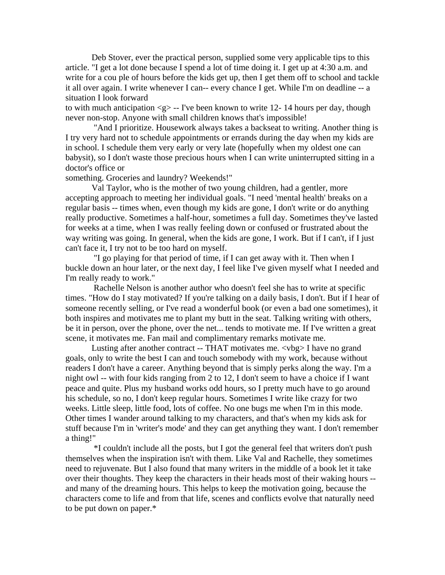Deb Stover, ever the practical person, supplied some very applicable tips to this article. "I get a lot done because I spend a lot of time doing it. I get up at 4:30 a.m. and write for a cou ple of hours before the kids get up, then I get them off to school and tackle it all over again. I write whenever I can-- every chance I get. While I'm on deadline -- a situation I look forward

to with much anticipation  $\langle g \rangle$  -- I've been known to write 12-14 hours per day, though never non-stop. Anyone with small children knows that's impossible!

 "And I prioritize. Housework always takes a backseat to writing. Another thing is I try very hard not to schedule appointments or errands during the day when my kids are in school. I schedule them very early or very late (hopefully when my oldest one can babysit), so I don't waste those precious hours when I can write uninterrupted sitting in a doctor's office or

something. Groceries and laundry? Weekends!"

 Val Taylor, who is the mother of two young children, had a gentler, more accepting approach to meeting her individual goals. "I need 'mental health' breaks on a regular basis -- times when, even though my kids are gone, I don't write or do anything really productive. Sometimes a half-hour, sometimes a full day. Sometimes they've lasted for weeks at a time, when I was really feeling down or confused or frustrated about the way writing was going. In general, when the kids are gone, I work. But if I can't, if I just can't face it, I try not to be too hard on myself.

 "I go playing for that period of time, if I can get away with it. Then when I buckle down an hour later, or the next day, I feel like I've given myself what I needed and I'm really ready to work."

 Rachelle Nelson is another author who doesn't feel she has to write at specific times. "How do I stay motivated? If you're talking on a daily basis, I don't. But if I hear of someone recently selling, or I've read a wonderful book (or even a bad one sometimes), it both inspires and motivates me to plant my butt in the seat. Talking writing with others, be it in person, over the phone, over the net... tends to motivate me. If I've written a great scene, it motivates me. Fan mail and complimentary remarks motivate me.

Lusting after another contract -- THAT motivates me. <vbg> I have no grand goals, only to write the best I can and touch somebody with my work, because without readers I don't have a career. Anything beyond that is simply perks along the way. I'm a night owl -- with four kids ranging from 2 to 12, I don't seem to have a choice if I want peace and quite. Plus my husband works odd hours, so I pretty much have to go around his schedule, so no, I don't keep regular hours. Sometimes I write like crazy for two weeks. Little sleep, little food, lots of coffee. No one bugs me when I'm in this mode. Other times I wander around talking to my characters, and that's when my kids ask for stuff because I'm in 'writer's mode' and they can get anything they want. I don't remember a thing!"

 \*I couldn't include all the posts, but I got the general feel that writers don't push themselves when the inspiration isn't with them. Like Val and Rachelle, they sometimes need to rejuvenate. But I also found that many writers in the middle of a book let it take over their thoughts. They keep the characters in their heads most of their waking hours - and many of the dreaming hours. This helps to keep the motivation going, because the characters come to life and from that life, scenes and conflicts evolve that naturally need to be put down on paper.\*